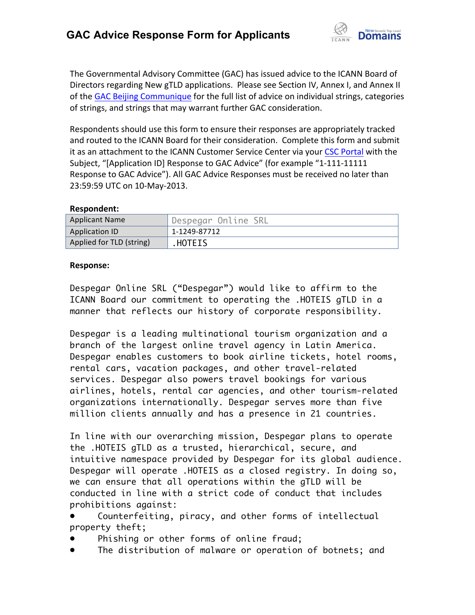

The Governmental Advisory Committee (GAC) has issued advice to the ICANN Board of Directors regarding New gTLD applications. Please see Section IV, Annex I, and Annex II of the GAC Beijing Communique for the full list of advice on individual strings, categories of strings, and strings that may warrant further GAC consideration.

Respondents should use this form to ensure their responses are appropriately tracked and routed to the ICANN Board for their consideration. Complete this form and submit it as an attachment to the ICANN Customer Service Center via your CSC Portal with the Subject, "[Application ID] Response to GAC Advice" (for example "1-111-11111 Response to GAC Advice"). All GAC Advice Responses must be received no later than 23:59:59 UTC on 10-May-2013.

## **Respondent:**

| <b>Applicant Name</b>    | 'Despegar Online SRL |
|--------------------------|----------------------|
| <b>Application ID</b>    | 1-1249-87712         |
| Applied for TLD (string) | HOTEIS.              |

## **Response:**

Despegar Online SRL ("Despegar") would like to affirm to the ICANN Board our commitment to operating the .HOTEIS gTLD in a manner that reflects our history of corporate responsibility.

Despegar is a leading multinational tourism organization and a branch of the largest online travel agency in Latin America. Despegar enables customers to book airline tickets, hotel rooms, rental cars, vacation packages, and other travel-related services. Despegar also powers travel bookings for various airlines, hotels, rental car agencies, and other tourism-related organizations internationally. Despegar serves more than five million clients annually and has a presence in 21 countries.

In line with our overarching mission, Despegar plans to operate the .HOTEIS gTLD as a trusted, hierarchical, secure, and intuitive namespace provided by Despegar for its global audience. Despegar will operate .HOTEIS as a closed registry. In doing so, we can ensure that all operations within the gTLD will be conducted in line with a strict code of conduct that includes prohibitions against:

Counterfeiting, piracy, and other forms of intellectual property theft;

- Phishing or other forms of online fraud;
- The distribution of malware or operation of botnets; and